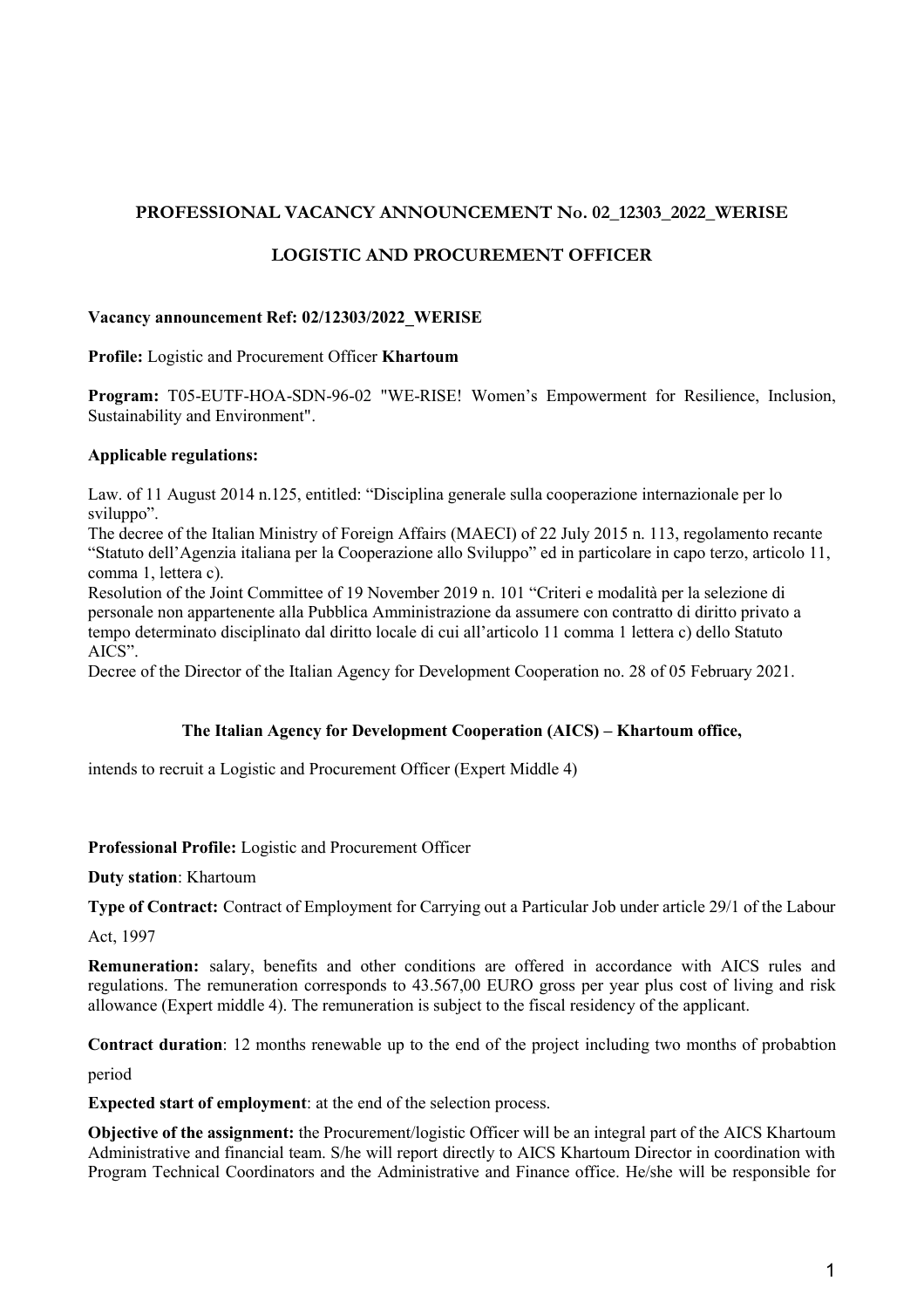# **PROFESSIONAL VACANCY ANNOUNCEMENT No. 02\_12303\_2022\_WERISE**

# **LOGISTIC AND PROCUREMENT OFFICER**

#### **Vacancy announcement Ref: 02/12303/2022\_WERISE**

**Profile:** Logistic and Procurement Officer **Khartoum**

**Program:** T05-EUTF-HOA-SDN-96-02 "WE-RISE! Women's Empowerment for Resilience, Inclusion, Sustainability and Environment".

### **Applicable regulations:**

Law. of 11 August 2014 n.125, entitled: "Disciplina generale sulla cooperazione internazionale per lo sviluppo".

The decree of the Italian Ministry of Foreign Affairs (MAECI) of 22 July 2015 n. 113, regolamento recante "Statuto dell'Agenzia italiana per la Cooperazione allo Sviluppo" ed in particolare in capo terzo, articolo 11, comma 1, lettera c).

Resolution of the Joint Committee of 19 November 2019 n. 101 "Criteri e modalità per la selezione di personale non appartenente alla Pubblica Amministrazione da assumere con contratto di diritto privato a tempo determinato disciplinato dal diritto locale di cui all'articolo 11 comma 1 lettera c) dello Statuto AICS".

Decree of the Director of the Italian Agency for Development Cooperation no. 28 of 05 February 2021.

### **The Italian Agency for Development Cooperation (AICS) – Khartoum office,**

intends to recruit a Logistic and Procurement Officer (Expert Middle 4)

### **Professional Profile:** Logistic and Procurement Officer

**Duty station**: Khartoum

**Type of Contract:** Contract of Employment for Carrying out a Particular Job under article 29/1 of the Labour

Act, 1997

**Remuneration:** salary, benefits and other conditions are offered in accordance with AICS rules and regulations. The remuneration corresponds to 43.567,00 EURO gross per year plus cost of living and risk allowance (Expert middle 4). The remuneration is subject to the fiscal residency of the applicant.

**Contract duration**: 12 months renewable up to the end of the project including two months of probabtion

period

**Expected start of employment**: at the end of the selection process.

**Objective of the assignment:** the Procurement/logistic Officer will be an integral part of the AICS Khartoum Administrative and financial team. S/he will report directly to AICS Khartoum Director in coordination with Program Technical Coordinators and the Administrative and Finance office. He/she will be responsible for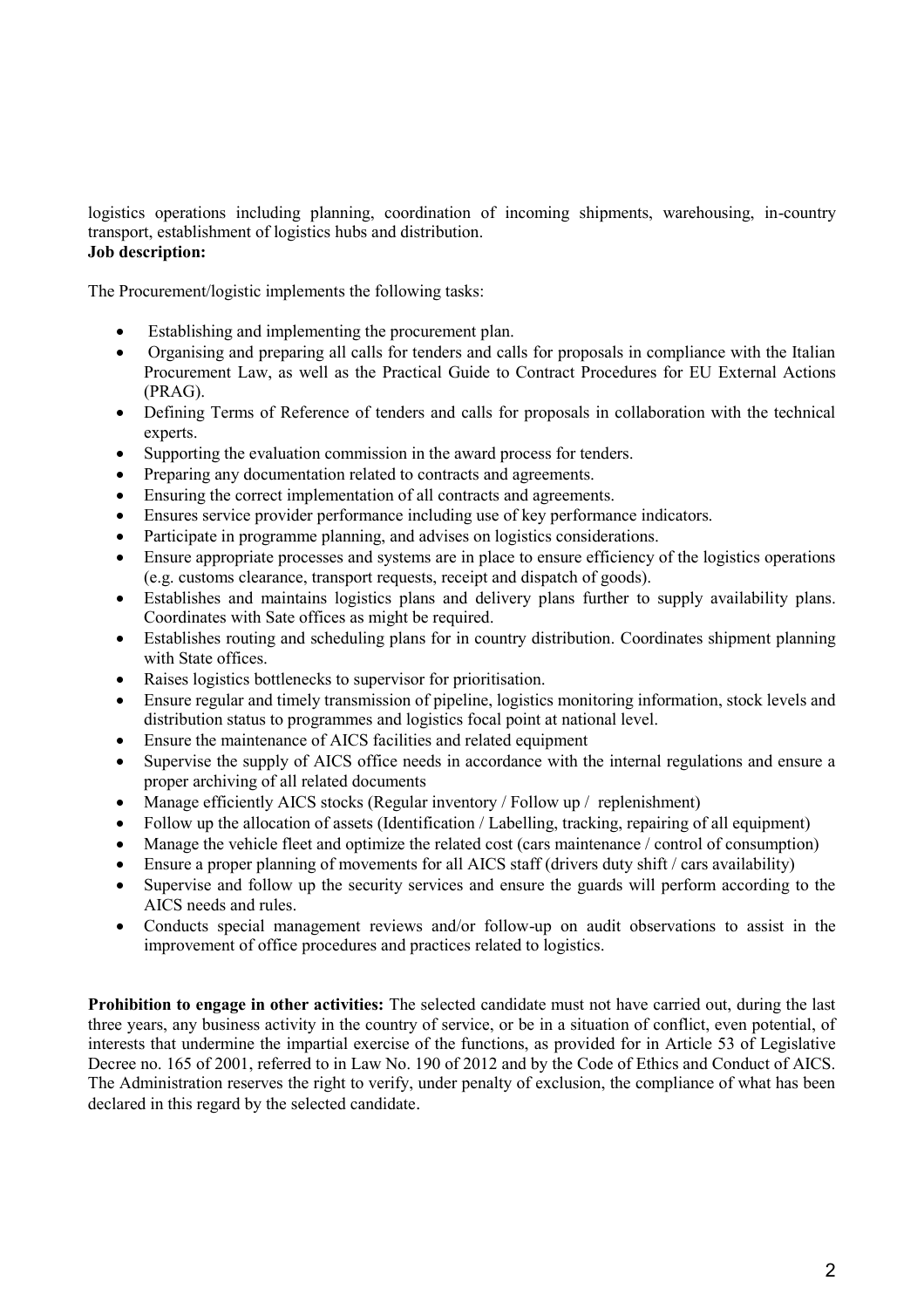logistics operations including planning, coordination of incoming shipments, warehousing, in-country transport, establishment of logistics hubs and distribution. **Job description:**

The Procurement/logistic implements the following tasks:

- Establishing and implementing the procurement plan.
- Organising and preparing all calls for tenders and calls for proposals in compliance with the Italian Procurement Law, as well as the Practical Guide to Contract Procedures for EU External Actions (PRAG).
- Defining Terms of Reference of tenders and calls for proposals in collaboration with the technical experts.
- Supporting the evaluation commission in the award process for tenders.
- Preparing any documentation related to contracts and agreements.
- Ensuring the correct implementation of all contracts and agreements.
- Ensures service provider performance including use of key performance indicators.
- Participate in programme planning, and advises on logistics considerations.
- Ensure appropriate processes and systems are in place to ensure efficiency of the logistics operations (e.g. customs clearance, transport requests, receipt and dispatch of goods).
- Establishes and maintains logistics plans and delivery plans further to supply availability plans. Coordinates with Sate offices as might be required.
- Establishes routing and scheduling plans for in country distribution. Coordinates shipment planning with State offices.
- Raises logistics bottlenecks to supervisor for prioritisation.
- Ensure regular and timely transmission of pipeline, logistics monitoring information, stock levels and distribution status to programmes and logistics focal point at national level.
- Ensure the maintenance of AICS facilities and related equipment
- Supervise the supply of AICS office needs in accordance with the internal regulations and ensure a proper archiving of all related documents
- Manage efficiently AICS stocks (Regular inventory / Follow up / replenishment)
- Follow up the allocation of assets (Identification / Labelling, tracking, repairing of all equipment)
- Manage the vehicle fleet and optimize the related cost (cars maintenance / control of consumption)
- Ensure a proper planning of movements for all AICS staff (drivers duty shift / cars availability)
- Supervise and follow up the security services and ensure the guards will perform according to the AICS needs and rules.
- Conducts special management reviews and/or follow-up on audit observations to assist in the improvement of office procedures and practices related to logistics.

**Prohibition to engage in other activities:** The selected candidate must not have carried out, during the last three years, any business activity in the country of service, or be in a situation of conflict, even potential, of interests that undermine the impartial exercise of the functions, as provided for in Article 53 of Legislative Decree no. 165 of 2001, referred to in Law No. 190 of 2012 and by the Code of Ethics and Conduct of AICS. The Administration reserves the right to verify, under penalty of exclusion, the compliance of what has been declared in this regard by the selected candidate.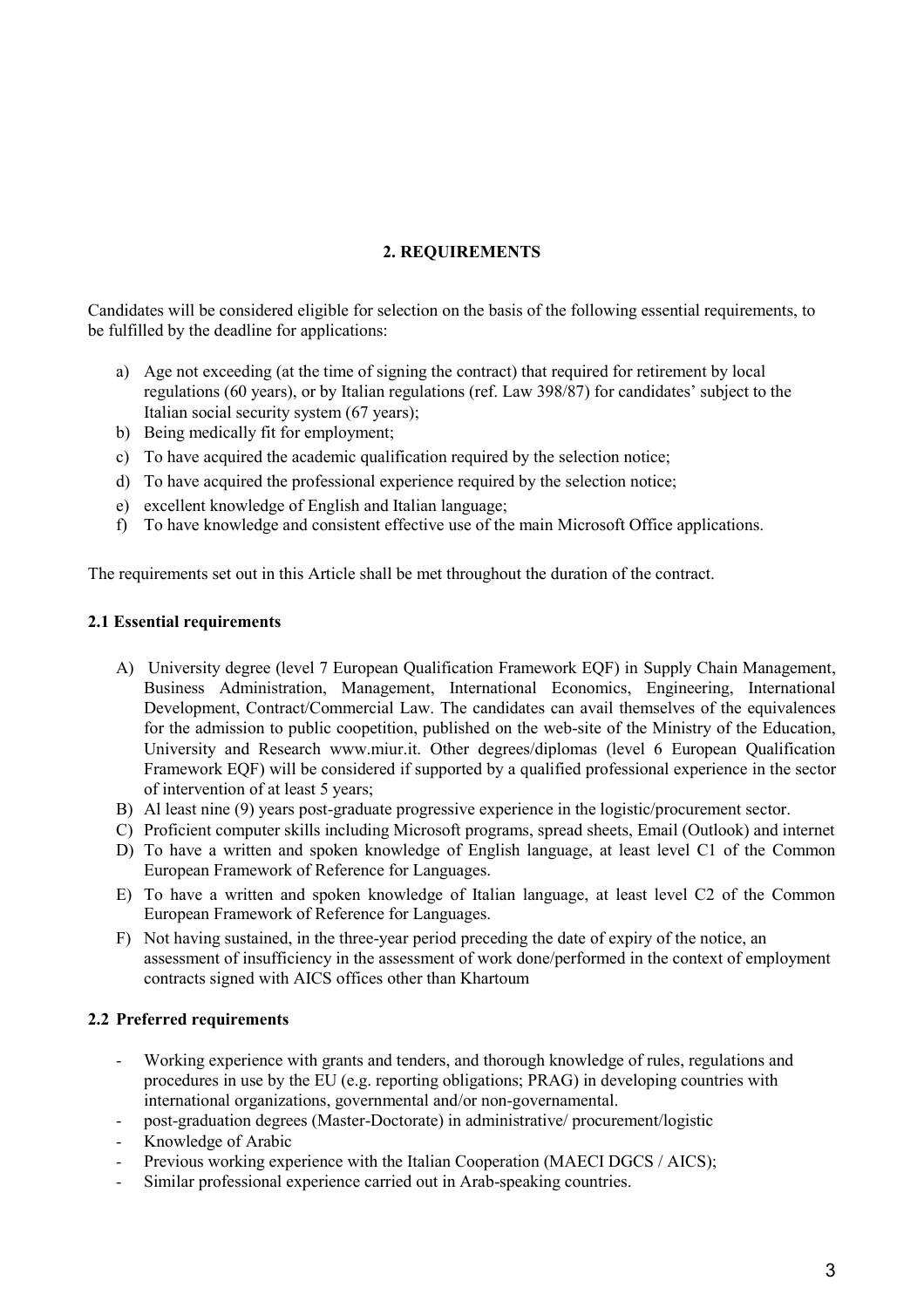## **2. REQUIREMENTS**

Candidates will be considered eligible for selection on the basis of the following essential requirements, to be fulfilled by the deadline for applications:

- a) Age not exceeding (at the time of signing the contract) that required for retirement by local regulations (60 years), or by Italian regulations (ref. Law 398/87) for candidates' subject to the Italian social security system (67 years);
- b) Being medically fit for employment;
- c) To have acquired the academic qualification required by the selection notice;
- d) To have acquired the professional experience required by the selection notice;
- e) excellent knowledge of English and Italian language;
- f) To have knowledge and consistent effective use of the main Microsoft Office applications.

The requirements set out in this Article shall be met throughout the duration of the contract.

#### **2.1 Essential requirements**

- A) University degree (level 7 European Qualification Framework EQF) in Supply Chain Management, Business Administration, Management, International Economics, Engineering, International Development, Contract/Commercial Law. The candidates can avail themselves of the equivalences for the admission to public coopetition, published on the web-site of the Ministry of the Education, University and Research www.miur.it. Other degrees/diplomas (level 6 European Qualification Framework EQF) will be considered if supported by a qualified professional experience in the sector of intervention of at least 5 years;
- B) Al least nine (9) years post-graduate progressive experience in the logistic/procurement sector.
- C) Proficient computer skills including Microsoft programs, spread sheets, Email (Outlook) and internet
- D) To have a written and spoken knowledge of English language, at least level C1 of the Common European Framework of Reference for Languages.
- E) To have a written and spoken knowledge of Italian language, at least level C2 of the Common European Framework of Reference for Languages.
- F) Not having sustained, in the three-year period preceding the date of expiry of the notice, an assessment of insufficiency in the assessment of work done/performed in the context of employment contracts signed with AICS offices other than Khartoum

### **2.2 Preferred requirements**

- *-* Working experience with grants and tenders, and thorough knowledge of rules, regulations and procedures in use by the EU (e.g. reporting obligations; PRAG) in developing countries with international organizations, governmental and/or non-governamental.
- *-* post-graduation degrees (Master-Doctorate) in administrative/ procurement/logistic
- *-* Knowledge of Arabic
- Previous working experience with the Italian Cooperation (MAECI DGCS / AICS);
- Similar professional experience carried out in Arab-speaking countries.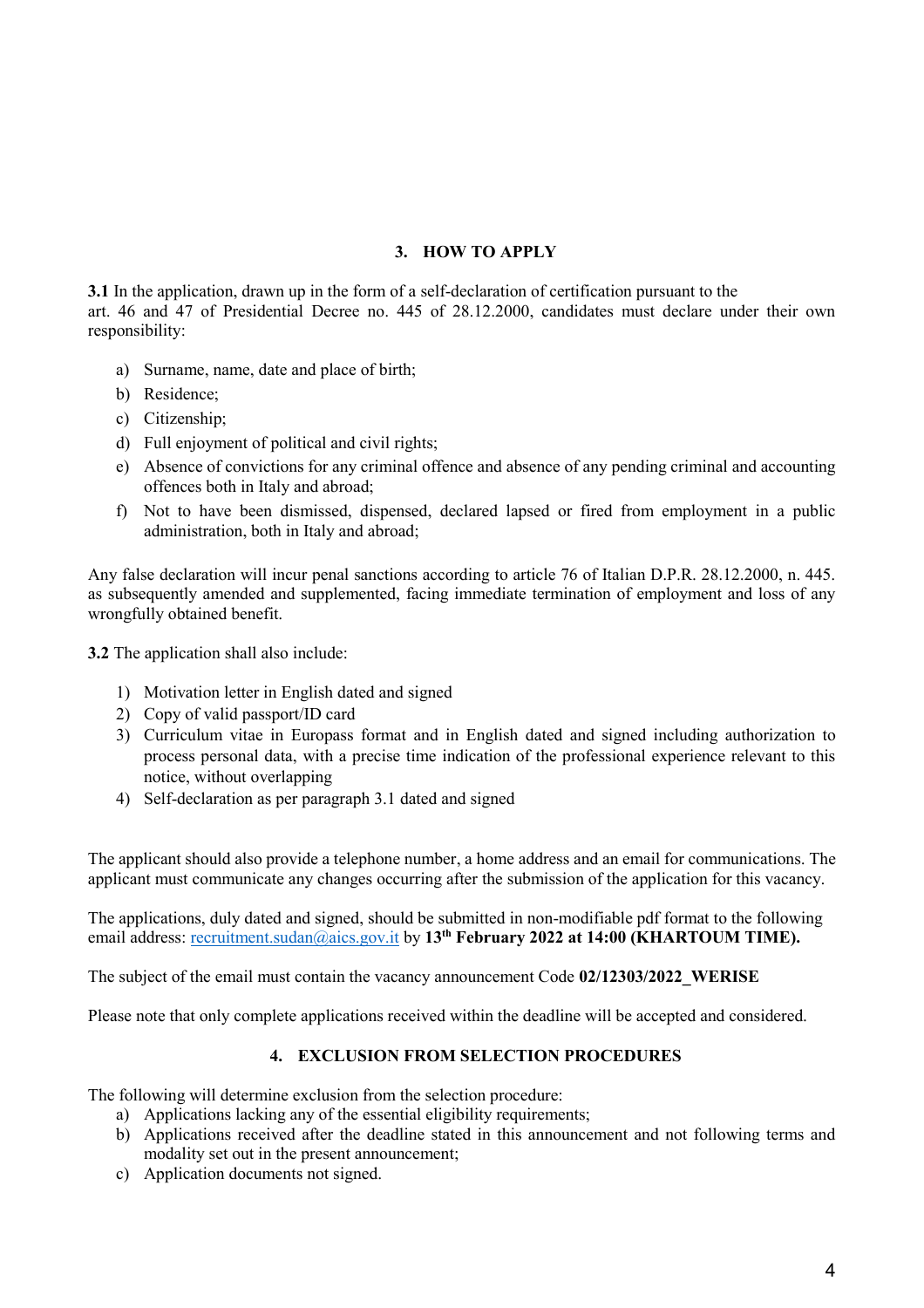## **3. HOW TO APPLY**

**3.1** In the application, drawn up in the form of a self-declaration of certification pursuant to the art. 46 and 47 of Presidential Decree no. 445 of 28.12.2000, candidates must declare under their own responsibility:

- a) Surname, name, date and place of birth;
- b) Residence;
- c) Citizenship;
- d) Full enjoyment of political and civil rights;
- e) Absence of convictions for any criminal offence and absence of any pending criminal and accounting offences both in Italy and abroad;
- f) Not to have been dismissed, dispensed, declared lapsed or fired from employment in a public administration, both in Italy and abroad;

Any false declaration will incur penal sanctions according to article 76 of Italian D.P.R. 28.12.2000, n. 445. as subsequently amended and supplemented, facing immediate termination of employment and loss of any wrongfully obtained benefit.

**3.2** The application shall also include:

- 1) Motivation letter in English dated and signed
- 2) Copy of valid passport/ID card
- 3) Curriculum vitae in Europass format and in English dated and signed including authorization to process personal data, with a precise time indication of the professional experience relevant to this notice, without overlapping
- 4) Self-declaration as per paragraph 3.1 dated and signed

The applicant should also provide a telephone number, a home address and an email for communications. The applicant must communicate any changes occurring after the submission of the application for this vacancy.

The applications, duly dated and signed, should be submitted in non-modifiable pdf format to the following email address: <u>[recruitment.sudan@aics.gov.it](mailto:recruitment.sudan@aics.gov.it)</u> by 13<sup>th</sup> February 2022 at 14:00 (KHARTOUM TIME).

The subject of the email must contain the vacancy announcement Code **02/12303/2022\_WERISE**

Please note that only complete applications received within the deadline will be accepted and considered.

### **4. EXCLUSION FROM SELECTION PROCEDURES**

The following will determine exclusion from the selection procedure:

- a) Applications lacking any of the essential eligibility requirements;
- b) Applications received after the deadline stated in this announcement and not following terms and modality set out in the present announcement;
- c) Application documents not signed.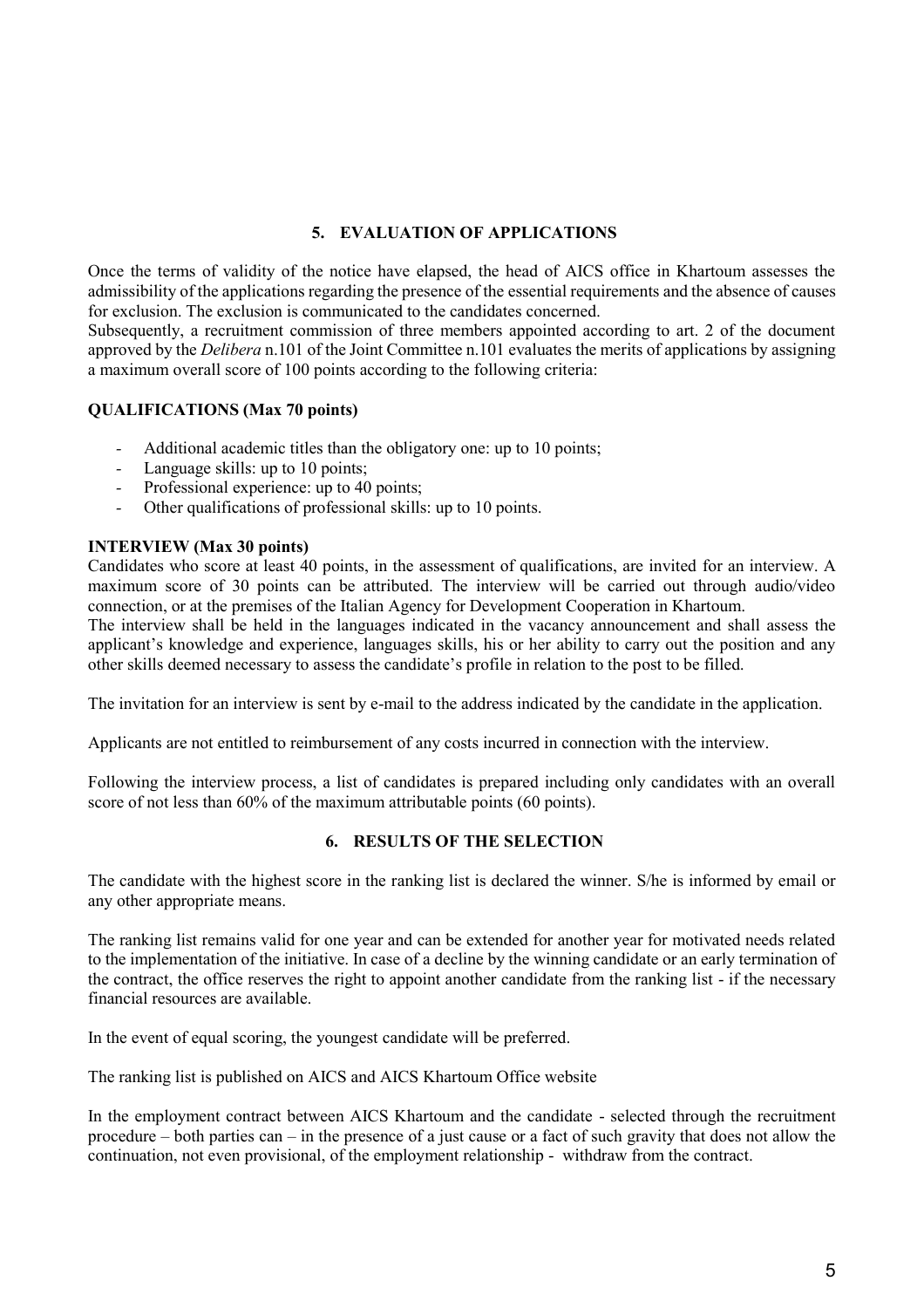# **5. EVALUATION OF APPLICATIONS**

Once the terms of validity of the notice have elapsed, the head of AICS office in Khartoum assesses the admissibility of the applications regarding the presence of the essential requirements and the absence of causes for exclusion. The exclusion is communicated to the candidates concerned.

Subsequently, a recruitment commission of three members appointed according to art. 2 of the document approved by the *Delibera* n.101 of the Joint Committee n.101 evaluates the merits of applications by assigning a maximum overall score of 100 points according to the following criteria:

### **QUALIFICATIONS (Max 70 points)**

- *-* Additional academic titles than the obligatory one: up to 10 points;
- *-* Language skills: up to 10 points;
- *-* Professional experience: up to 40 points;
- *-* Other qualifications of professional skills: up to 10 points.

#### **INTERVIEW (Max 30 points)**

Candidates who score at least 40 points, in the assessment of qualifications, are invited for an interview. A maximum score of 30 points can be attributed. The interview will be carried out through audio/video connection, or at the premises of the Italian Agency for Development Cooperation in Khartoum.

The interview shall be held in the languages indicated in the vacancy announcement and shall assess the applicant's knowledge and experience, languages skills, his or her ability to carry out the position and any other skills deemed necessary to assess the candidate's profile in relation to the post to be filled.

The invitation for an interview is sent by e-mail to the address indicated by the candidate in the application.

Applicants are not entitled to reimbursement of any costs incurred in connection with the interview.

Following the interview process, a list of candidates is prepared including only candidates with an overall score of not less than 60% of the maximum attributable points (60 points).

#### **6. RESULTS OF THE SELECTION**

The candidate with the highest score in the ranking list is declared the winner. S/he is informed by email or any other appropriate means.

The ranking list remains valid for one year and can be extended for another year for motivated needs related to the implementation of the initiative. In case of a decline by the winning candidate or an early termination of the contract, the office reserves the right to appoint another candidate from the ranking list - if the necessary financial resources are available.

In the event of equal scoring, the youngest candidate will be preferred.

The ranking list is published on AICS and AICS Khartoum Office website

In the employment contract between AICS Khartoum and the candidate - selected through the recruitment procedure – both parties can – in the presence of a just cause or a fact of such gravity that does not allow the continuation, not even provisional, of the employment relationship - withdraw from the contract.